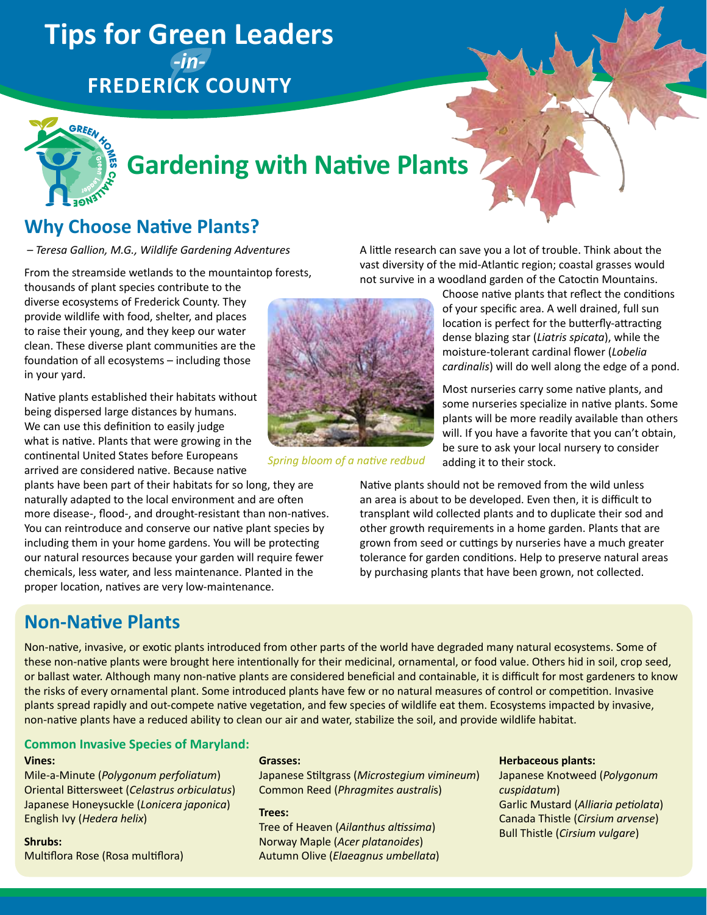## **Tips for Green Leaders**  *-in-***Frederick County**



# **Gardening with Native Plants**

## **Why Choose Native Plants?**

 *– Teresa Gallion, M.G., Wildlife Gardening Adventures*

From the streamside wetlands to the mountaintop forests,

thousands of plant species contribute to the diverse ecosystems of Frederick County. They provide wildlife with food, shelter, and places to raise their young, and they keep our water clean. These diverse plant communities are the foundation of all ecosystems – including those in your yard.

Native plants established their habitats without being dispersed large distances by humans. We can use this definition to easily judge what is native. Plants that were growing in the continental United States before Europeans arrived are considered native. Because native

plants have been part of their habitats for so long, they are naturally adapted to the local environment and are often more disease-, flood-, and drought-resistant than non-natives. You can reintroduce and conserve our native plant species by including them in your home gardens. You will be protecting our natural resources because your garden will require fewer chemicals, less water, and less maintenance. Planted in the proper location, natives are very low-maintenance.

## **Non-Native Plants**



*Spring bloom of a native redbud*

A little research can save you a lot of trouble. Think about the vast diversity of the mid-Atlantic region; coastal grasses would not survive in a woodland garden of the Catoctin Mountains.

> Choose native plants that reflect the conditions of your specific area. A well drained, full sun location is perfect for the butterfly-attracting dense blazing star (*Liatris spicata*), while the moisture-tolerant cardinal flower (*Lobelia cardinalis*) will do well along the edge of a pond.

> Most nurseries carry some native plants, and some nurseries specialize in native plants. Some plants will be more readily available than others will. If you have a favorite that you can't obtain, be sure to ask your local nursery to consider adding it to their stock.

Native plants should not be removed from the wild unless an area is about to be developed. Even then, it is difficult to transplant wild collected plants and to duplicate their sod and other growth requirements in a home garden. Plants that are grown from seed or cuttings by nurseries have a much greater tolerance for garden conditions. Help to preserve natural areas by purchasing plants that have been grown, not collected.

Non-native, invasive, or exotic plants introduced from other parts of the world have degraded many natural ecosystems. Some of these non-native plants were brought here intentionally for their medicinal, ornamental, or food value. Others hid in soil, crop seed, or ballast water. Although many non-native plants are considered beneficial and containable, it is difficult for most gardeners to know the risks of every ornamental plant. Some introduced plants have few or no natural measures of control or competition. Invasive plants spread rapidly and out-compete native vegetation, and few species of wildlife eat them. Ecosystems impacted by invasive, non-native plants have a reduced ability to clean our air and water, stabilize the soil, and provide wildlife habitat.

#### **Common Invasive Species of Maryland:**

#### **Vines:**

Mile-a-Minute (*Polygonum perfoliatum*) Oriental Bittersweet (*Celastrus orbiculatus*) Japanese Honeysuckle (*Lonicera japonica*) English Ivy (*Hedera helix*)

**Shrubs:** Multiflora Rose (Rosa multiflora)

#### **Grasses:**

Japanese Stiltgrass (*Microstegium vimineum*) Common Reed (*Phragmites australi*s)

#### **Trees:**

Tree of Heaven (*Ailanthus altissima*) Norway Maple (*Acer platanoides*) Autumn Olive (*Elaeagnus umbellata*)

#### **Herbaceous plants:**

Japanese Knotweed (*Polygonum cuspidatum*) Garlic Mustard (*Alliaria petiolata*) Canada Thistle (*Cirsium arvense*) Bull Thistle (*Cirsium vulgare*)